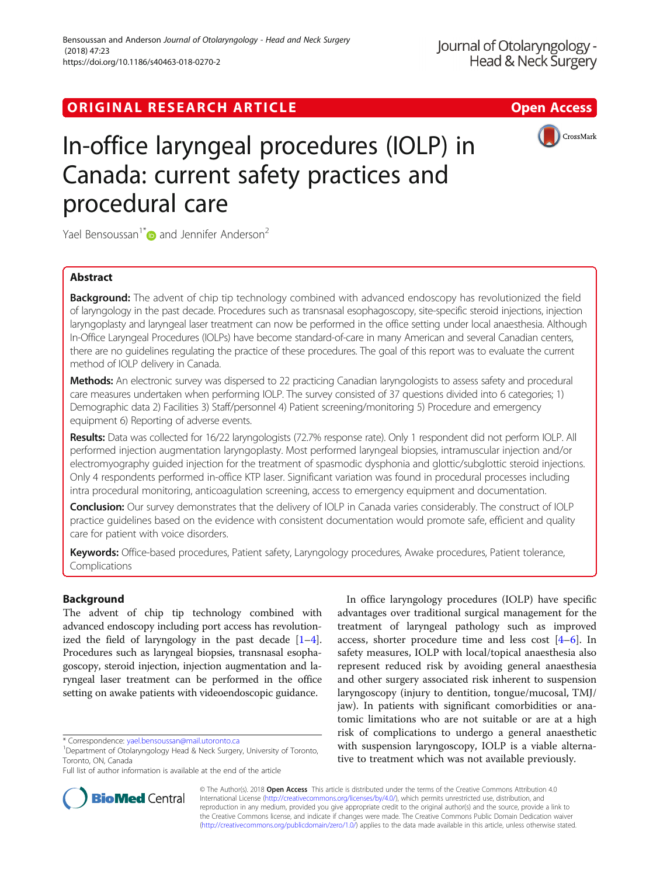## ORIGINAL RESEARCH ARTICLE **Solution Contract Contract Contract Contract Contract Contract Contract Contract Contract Contract Contract Contract Contract Contract Contract Contract Contract Contract Contract Contract Contra**



# In-office laryngeal procedures (IOLP) in Canada: current safety practices and procedural care

Yael Bensoussan<sup>1[\\*](http://orcid.org/0000-0002-1635-8627)</sup> and Jennifer Anderson<sup>2</sup>

## Abstract

Background: The advent of chip tip technology combined with advanced endoscopy has revolutionized the field of laryngology in the past decade. Procedures such as transnasal esophagoscopy, site-specific steroid injections, injection laryngoplasty and laryngeal laser treatment can now be performed in the office setting under local anaesthesia. Although In-Office Laryngeal Procedures (IOLPs) have become standard-of-care in many American and several Canadian centers, there are no guidelines regulating the practice of these procedures. The goal of this report was to evaluate the current method of IOLP delivery in Canada.

Methods: An electronic survey was dispersed to 22 practicing Canadian laryngologists to assess safety and procedural care measures undertaken when performing IOLP. The survey consisted of 37 questions divided into 6 categories; 1) Demographic data 2) Facilities 3) Staff/personnel 4) Patient screening/monitoring 5) Procedure and emergency equipment 6) Reporting of adverse events.

Results: Data was collected for 16/22 laryngologists (72.7% response rate). Only 1 respondent did not perform IOLP. All performed injection augmentation laryngoplasty. Most performed laryngeal biopsies, intramuscular injection and/or electromyography guided injection for the treatment of spasmodic dysphonia and glottic/subglottic steroid injections. Only 4 respondents performed in-office KTP laser. Significant variation was found in procedural processes including intra procedural monitoring, anticoagulation screening, access to emergency equipment and documentation.

Conclusion: Our survey demonstrates that the delivery of IOLP in Canada varies considerably. The construct of IOLP practice guidelines based on the evidence with consistent documentation would promote safe, efficient and quality care for patient with voice disorders.

Keywords: Office-based procedures, Patient safety, Laryngology procedures, Awake procedures, Patient tolerance, Complications

### Background

The advent of chip tip technology combined with advanced endoscopy including port access has revolutionized the field of laryngology in the past decade  $[1-4]$  $[1-4]$  $[1-4]$  $[1-4]$  $[1-4]$ . Procedures such as laryngeal biopsies, transnasal esophagoscopy, steroid injection, injection augmentation and laryngeal laser treatment can be performed in the office setting on awake patients with videoendoscopic guidance.

In office laryngology procedures (IOLP) have specific advantages over traditional surgical management for the treatment of laryngeal pathology such as improved access, shorter procedure time and less cost [[4](#page-5-0)–[6\]](#page-5-0). In safety measures, IOLP with local/topical anaesthesia also represent reduced risk by avoiding general anaesthesia and other surgery associated risk inherent to suspension laryngoscopy (injury to dentition, tongue/mucosal, TMJ/ jaw). In patients with significant comorbidities or anatomic limitations who are not suitable or are at a high risk of complications to undergo a general anaesthetic with suspension laryngoscopy, IOLP is a viable alternative to treatment which was not available previously.



© The Author(s). 2018 Open Access This article is distributed under the terms of the Creative Commons Attribution 4.0 International License [\(http://creativecommons.org/licenses/by/4.0/](http://creativecommons.org/licenses/by/4.0/)), which permits unrestricted use, distribution, and reproduction in any medium, provided you give appropriate credit to the original author(s) and the source, provide a link to the Creative Commons license, and indicate if changes were made. The Creative Commons Public Domain Dedication waiver [\(http://creativecommons.org/publicdomain/zero/1.0/](http://creativecommons.org/publicdomain/zero/1.0/)) applies to the data made available in this article, unless otherwise stated.

<sup>\*</sup> Correspondence: [yael.bensoussan@mail.utoronto.ca](mailto:yael.bensoussan@mail.utoronto.ca) <sup>1</sup>

Department of Otolaryngology Head & Neck Surgery, University of Toronto, Toronto, ON, Canada

Full list of author information is available at the end of the article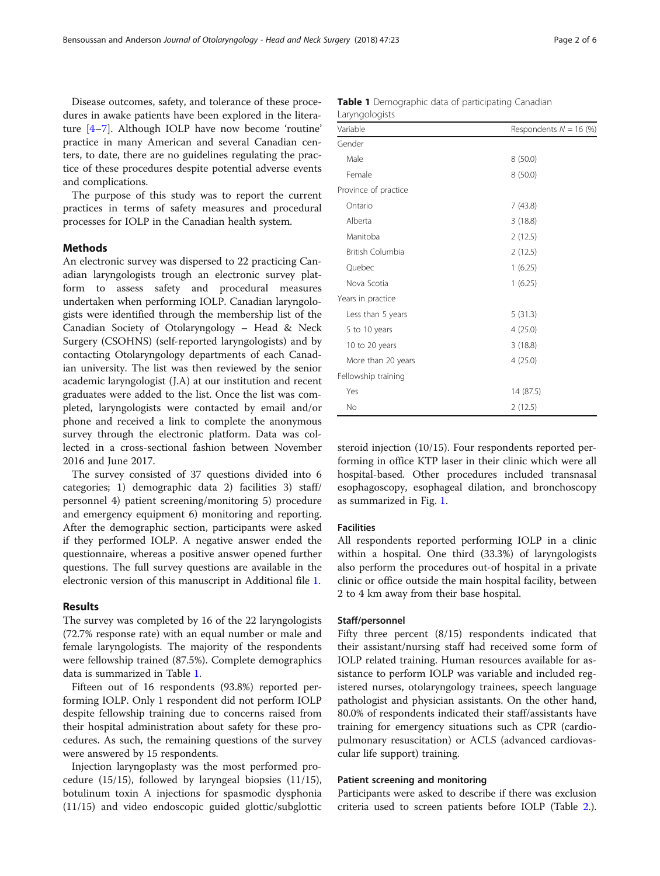Disease outcomes, safety, and tolerance of these procedures in awake patients have been explored in the literature [[4](#page-5-0)–[7\]](#page-5-0). Although IOLP have now become 'routine' practice in many American and several Canadian centers, to date, there are no guidelines regulating the practice of these procedures despite potential adverse events and complications.

The purpose of this study was to report the current practices in terms of safety measures and procedural processes for IOLP in the Canadian health system.

#### Methods

An electronic survey was dispersed to 22 practicing Canadian laryngologists trough an electronic survey platform to assess safety and procedural measures undertaken when performing IOLP. Canadian laryngologists were identified through the membership list of the Canadian Society of Otolaryngology – Head & Neck Surgery (CSOHNS) (self-reported laryngologists) and by contacting Otolaryngology departments of each Canadian university. The list was then reviewed by the senior academic laryngologist (J.A) at our institution and recent graduates were added to the list. Once the list was completed, laryngologists were contacted by email and/or phone and received a link to complete the anonymous survey through the electronic platform. Data was collected in a cross-sectional fashion between November 2016 and June 2017.

The survey consisted of 37 questions divided into 6 categories; 1) demographic data 2) facilities 3) staff/ personnel 4) patient screening/monitoring 5) procedure and emergency equipment 6) monitoring and reporting. After the demographic section, participants were asked if they performed IOLP. A negative answer ended the questionnaire, whereas a positive answer opened further questions. The full survey questions are available in the electronic version of this manuscript in Additional file [1](#page-4-0).

#### Results

The survey was completed by 16 of the 22 laryngologists (72.7% response rate) with an equal number or male and female laryngologists. The majority of the respondents were fellowship trained (87.5%). Complete demographics data is summarized in Table 1.

Fifteen out of 16 respondents (93.8%) reported performing IOLP. Only 1 respondent did not perform IOLP despite fellowship training due to concerns raised from their hospital administration about safety for these procedures. As such, the remaining questions of the survey were answered by 15 respondents.

Injection laryngoplasty was the most performed procedure (15/15), followed by laryngeal biopsies (11/15), botulinum toxin A injections for spasmodic dysphonia (11/15) and video endoscopic guided glottic/subglottic

| Variable             | Respondents $N = 16$ (%) |
|----------------------|--------------------------|
| Gender               |                          |
| Male                 | 8(50.0)                  |
| Female               | 8(50.0)                  |
| Province of practice |                          |
| Ontario              | 7(43.8)                  |
| Alberta              | 3(18.8)                  |
| Manitoba             | 2(12.5)                  |
| British Columbia     | 2(12.5)                  |
| Quebec               | 1(6.25)                  |
| Nova Scotia          | 1(6.25)                  |
| Years in practice    |                          |
| Less than 5 years    | 5(31.3)                  |
| 5 to 10 years        | 4(25.0)                  |
| 10 to 20 years       | 3(18.8)                  |
| More than 20 years   | 4(25.0)                  |
| Fellowship training  |                          |
| Yes                  | 14 (87.5)                |
| No                   | 2(12.5)                  |

steroid injection (10/15). Four respondents reported performing in office KTP laser in their clinic which were all hospital-based. Other procedures included transnasal esophagoscopy, esophageal dilation, and bronchoscopy as summarized in Fig. [1](#page-2-0).

#### Facilities

All respondents reported performing IOLP in a clinic within a hospital. One third (33.3%) of laryngologists also perform the procedures out-of hospital in a private clinic or office outside the main hospital facility, between 2 to 4 km away from their base hospital.

#### Staff/personnel

Fifty three percent (8/15) respondents indicated that their assistant/nursing staff had received some form of IOLP related training. Human resources available for assistance to perform IOLP was variable and included registered nurses, otolaryngology trainees, speech language pathologist and physician assistants. On the other hand, 80.0% of respondents indicated their staff/assistants have training for emergency situations such as CPR (cardiopulmonary resuscitation) or ACLS (advanced cardiovascular life support) training.

#### Patient screening and monitoring

Participants were asked to describe if there was exclusion criteria used to screen patients before IOLP (Table [2](#page-2-0).).

|                | <b>Table 1</b> Demographic data of participating Canadian |  |  |
|----------------|-----------------------------------------------------------|--|--|
| Laryngologists |                                                           |  |  |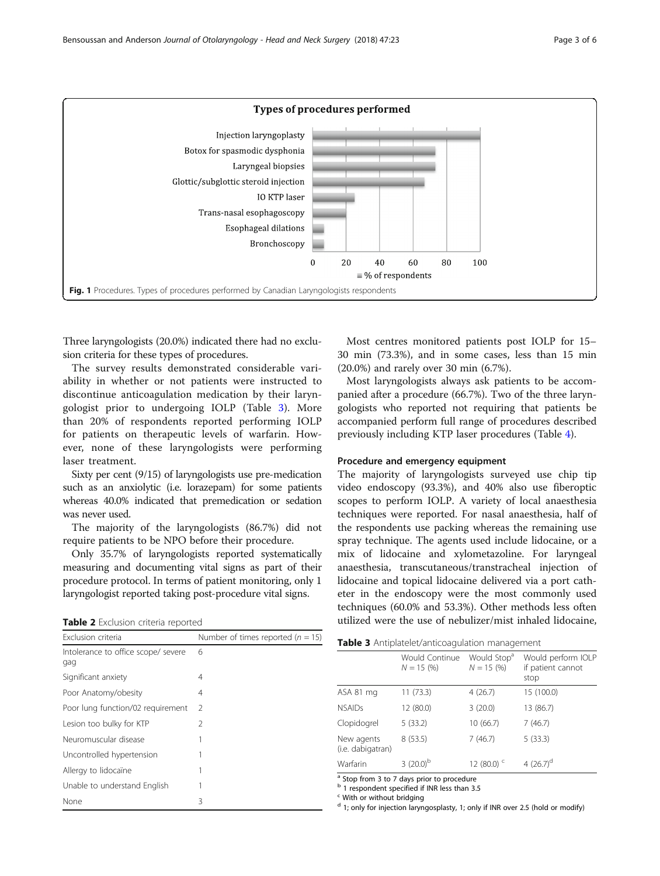<span id="page-2-0"></span>

Three laryngologists (20.0%) indicated there had no exclusion criteria for these types of procedures.

The survey results demonstrated considerable variability in whether or not patients were instructed to discontinue anticoagulation medication by their laryngologist prior to undergoing IOLP (Table 3). More than 20% of respondents reported performing IOLP for patients on therapeutic levels of warfarin. However, none of these laryngologists were performing laser treatment.

Sixty per cent (9/15) of laryngologists use pre-medication such as an anxiolytic (i.e. lorazepam) for some patients whereas 40.0% indicated that premedication or sedation was never used.

The majority of the laryngologists (86.7%) did not require patients to be NPO before their procedure.

Only 35.7% of laryngologists reported systematically measuring and documenting vital signs as part of their procedure protocol. In terms of patient monitoring, only 1 laryngologist reported taking post-procedure vital signs.

Table 2 Exclusion criteria reported

| Exclusion criteria                         | Number of times reported ( $n = 15$ ) |  |
|--------------------------------------------|---------------------------------------|--|
| Intolerance to office scope/ severe<br>gag | 6                                     |  |
| Significant anxiety                        | 4                                     |  |
| Poor Anatomy/obesity                       | 4                                     |  |
| Poor lung function/02 requirement          | $\mathcal{L}$                         |  |
| Lesion too bulky for KTP                   | $\mathcal{P}$                         |  |
| Neuromuscular disease                      |                                       |  |
| Uncontrolled hypertension                  |                                       |  |
| Allergy to lidocaïne                       |                                       |  |
| Unable to understand English               |                                       |  |
| None                                       | 3                                     |  |

Most centres monitored patients post IOLP for 15– 30 min (73.3%), and in some cases, less than 15 min (20.0%) and rarely over 30 min (6.7%).

Most laryngologists always ask patients to be accompanied after a procedure (66.7%). Two of the three laryngologists who reported not requiring that patients be accompanied perform full range of procedures described previously including KTP laser procedures (Table [4](#page-3-0)).

#### Procedure and emergency equipment

The majority of laryngologists surveyed use chip tip video endoscopy (93.3%), and 40% also use fiberoptic scopes to perform IOLP. A variety of local anaesthesia techniques were reported. For nasal anaesthesia, half of the respondents use packing whereas the remaining use spray technique. The agents used include lidocaine, or a mix of lidocaine and xylometazoline. For laryngeal anaesthesia, transcutaneous/transtracheal injection of lidocaine and topical lidocaine delivered via a port catheter in the endoscopy were the most commonly used techniques (60.0% and 53.3%). Other methods less often utilized were the use of nebulizer/mist inhaled lidocaine,

|  |  | Table 3 Antiplatelet/anticoagulation management |  |
|--|--|-------------------------------------------------|--|
|--|--|-------------------------------------------------|--|

|                                 | Would Continue<br>$N = 15(%)$ | Would Stop <sup>a</sup><br>$N = 15(%)$ | Would perform IOLP<br>if patient cannot<br>stop |
|---------------------------------|-------------------------------|----------------------------------------|-------------------------------------------------|
| ASA 81 mg                       | 11 (73.3)                     | 4(26.7)                                | 15 (100.0)                                      |
| <b>NSAIDs</b>                   | 12 (80.0)                     | 3(20.0)                                | 13 (86.7)                                       |
| Clopidogrel                     | 5(33.2)                       | 10 (66.7)                              | 7(46.7)                                         |
| New agents<br>(i.e. dabigatran) | 8(53.5)                       | 7(46.7)                                | 5(33.3)                                         |
| Warfarin                        | $3(20.0)^b$                   | 12 (80.0) $C$                          | 4 $(26.7)^d$                                    |

<sup>a</sup> Stop from 3 to 7 days prior to procedure

<sup>b</sup> 1 respondent specified if INR less than 3.5

<sup>c</sup> With or without bridging

 $d$  1; only for injection laryngosplasty, 1; only if INR over 2.5 (hold or modify)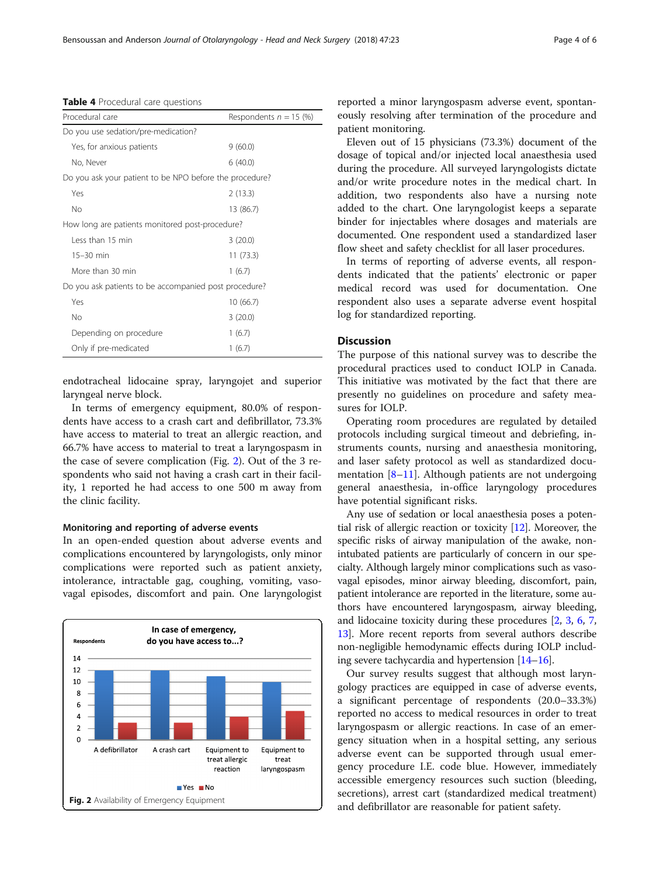| Procedural care                                         | Respondents $n = 15$ (%) |
|---------------------------------------------------------|--------------------------|
| Do you use sedation/pre-medication?                     |                          |
| Yes, for anxious patients                               | 9(60.0)                  |
| No, Never                                               | 6(40.0)                  |
| Do you ask your patient to be NPO before the procedure? |                          |
| Yes                                                     | 2(13.3)                  |
| <b>No</b>                                               | 13 (86.7)                |
| How long are patients monitored post-procedure?         |                          |
| Less than 15 min                                        | 3 (20.0)                 |

15–30 min 11 (73.3) More than 30 min  $1(6.7)$ Do you ask patients to be accompanied post procedure? Yes 10 (66.7) No 3 (20.0) Depending on procedure 1 (6.7) Only if pre-medicated 1 (6.7)

<span id="page-3-0"></span>Table 4 Procedural care questions

endotracheal lidocaine spray, laryngojet and superior laryngeal nerve block.

In terms of emergency equipment, 80.0% of respondents have access to a crash cart and defibrillator, 73.3% have access to material to treat an allergic reaction, and 66.7% have access to material to treat a laryngospasm in the case of severe complication (Fig. 2). Out of the 3 respondents who said not having a crash cart in their facility, 1 reported he had access to one 500 m away from the clinic facility.

#### Monitoring and reporting of adverse events

In an open-ended question about adverse events and complications encountered by laryngologists, only minor complications were reported such as patient anxiety, intolerance, intractable gag, coughing, vomiting, vasovagal episodes, discomfort and pain. One laryngologist



reported a minor laryngospasm adverse event, spontaneously resolving after termination of the procedure and patient monitoring.

Eleven out of 15 physicians (73.3%) document of the dosage of topical and/or injected local anaesthesia used during the procedure. All surveyed laryngologists dictate and/or write procedure notes in the medical chart. In addition, two respondents also have a nursing note added to the chart. One laryngologist keeps a separate binder for injectables where dosages and materials are documented. One respondent used a standardized laser flow sheet and safety checklist for all laser procedures.

In terms of reporting of adverse events, all respondents indicated that the patients' electronic or paper medical record was used for documentation. One respondent also uses a separate adverse event hospital log for standardized reporting.

#### **Discussion**

The purpose of this national survey was to describe the procedural practices used to conduct IOLP in Canada. This initiative was motivated by the fact that there are presently no guidelines on procedure and safety measures for IOLP.

Operating room procedures are regulated by detailed protocols including surgical timeout and debriefing, instruments counts, nursing and anaesthesia monitoring, and laser safety protocol as well as standardized documentation  $[8-11]$  $[8-11]$  $[8-11]$  $[8-11]$ . Although patients are not undergoing general anaesthesia, in-office laryngology procedures have potential significant risks.

Any use of sedation or local anaesthesia poses a potential risk of allergic reaction or toxicity [\[12\]](#page-5-0). Moreover, the specific risks of airway manipulation of the awake, nonintubated patients are particularly of concern in our specialty. Although largely minor complications such as vasovagal episodes, minor airway bleeding, discomfort, pain, patient intolerance are reported in the literature, some authors have encountered laryngospasm, airway bleeding, and lidocaine toxicity during these procedures [\[2](#page-5-0), [3,](#page-5-0) [6,](#page-5-0) [7](#page-5-0), [13](#page-5-0)]. More recent reports from several authors describe non-negligible hemodynamic effects during IOLP including severe tachycardia and hypertension [\[14](#page-5-0)–[16](#page-5-0)].

Our survey results suggest that although most laryngology practices are equipped in case of adverse events, a significant percentage of respondents (20.0–33.3%) reported no access to medical resources in order to treat laryngospasm or allergic reactions. In case of an emergency situation when in a hospital setting, any serious adverse event can be supported through usual emergency procedure I.E. code blue. However, immediately accessible emergency resources such suction (bleeding, secretions), arrest cart (standardized medical treatment) and defibrillator are reasonable for patient safety.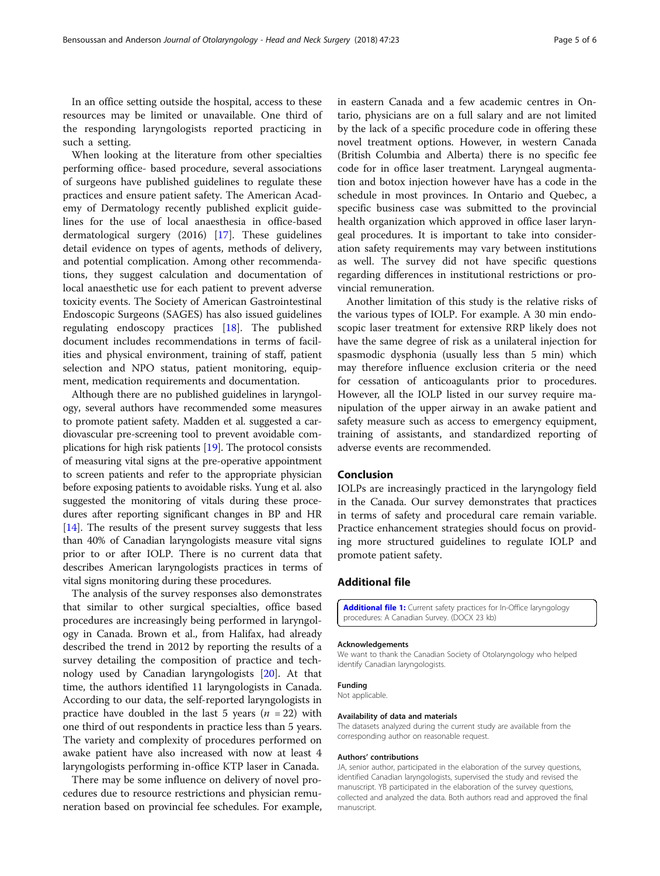<span id="page-4-0"></span>In an office setting outside the hospital, access to these resources may be limited or unavailable. One third of the responding laryngologists reported practicing in such a setting.

When looking at the literature from other specialties performing office- based procedure, several associations of surgeons have published guidelines to regulate these practices and ensure patient safety. The American Academy of Dermatology recently published explicit guidelines for the use of local anaesthesia in office-based dermatological surgery (2016) [[17](#page-5-0)]. These guidelines detail evidence on types of agents, methods of delivery, and potential complication. Among other recommendations, they suggest calculation and documentation of local anaesthetic use for each patient to prevent adverse toxicity events. The Society of American Gastrointestinal Endoscopic Surgeons (SAGES) has also issued guidelines regulating endoscopy practices [[18\]](#page-5-0). The published document includes recommendations in terms of facilities and physical environment, training of staff, patient selection and NPO status, patient monitoring, equipment, medication requirements and documentation.

Although there are no published guidelines in laryngology, several authors have recommended some measures to promote patient safety. Madden et al. suggested a cardiovascular pre-screening tool to prevent avoidable complications for high risk patients [[19](#page-5-0)]. The protocol consists of measuring vital signs at the pre-operative appointment to screen patients and refer to the appropriate physician before exposing patients to avoidable risks. Yung et al. also suggested the monitoring of vitals during these procedures after reporting significant changes in BP and HR [[14](#page-5-0)]. The results of the present survey suggests that less than 40% of Canadian laryngologists measure vital signs prior to or after IOLP. There is no current data that describes American laryngologists practices in terms of vital signs monitoring during these procedures.

The analysis of the survey responses also demonstrates that similar to other surgical specialties, office based procedures are increasingly being performed in laryngology in Canada. Brown et al., from Halifax, had already described the trend in 2012 by reporting the results of a survey detailing the composition of practice and technology used by Canadian laryngologists [[20\]](#page-5-0). At that time, the authors identified 11 laryngologists in Canada. According to our data, the self-reported laryngologists in practice have doubled in the last 5 years ( $n = 22$ ) with one third of out respondents in practice less than 5 years. The variety and complexity of procedures performed on awake patient have also increased with now at least 4 laryngologists performing in-office KTP laser in Canada.

There may be some influence on delivery of novel procedures due to resource restrictions and physician remuneration based on provincial fee schedules. For example, in eastern Canada and a few academic centres in Ontario, physicians are on a full salary and are not limited by the lack of a specific procedure code in offering these novel treatment options. However, in western Canada (British Columbia and Alberta) there is no specific fee code for in office laser treatment. Laryngeal augmentation and botox injection however have has a code in the schedule in most provinces. In Ontario and Quebec, a specific business case was submitted to the provincial health organization which approved in office laser laryngeal procedures. It is important to take into consideration safety requirements may vary between institutions as well. The survey did not have specific questions regarding differences in institutional restrictions or provincial remuneration.

Another limitation of this study is the relative risks of the various types of IOLP. For example. A 30 min endoscopic laser treatment for extensive RRP likely does not have the same degree of risk as a unilateral injection for spasmodic dysphonia (usually less than 5 min) which may therefore influence exclusion criteria or the need for cessation of anticoagulants prior to procedures. However, all the IOLP listed in our survey require manipulation of the upper airway in an awake patient and safety measure such as access to emergency equipment, training of assistants, and standardized reporting of adverse events are recommended.

#### Conclusion

IOLPs are increasingly practiced in the laryngology field in the Canada. Our survey demonstrates that practices in terms of safety and procedural care remain variable. Practice enhancement strategies should focus on providing more structured guidelines to regulate IOLP and promote patient safety.

#### Additional file

[Additional file 1:](https://doi.org/10.1186/s40463-018-0270-2) Current safety practices for In-Office laryngology procedures: A Canadian Survey. (DOCX 23 kb)

#### Acknowledgements

We want to thank the Canadian Society of Otolaryngology who helped identify Canadian laryngologists.

#### Funding

Not applicable.

#### Availability of data and materials

The datasets analyzed during the current study are available from the corresponding author on reasonable request.

#### Authors' contributions

JA, senior author, participated in the elaboration of the survey questions, identified Canadian laryngologists, supervised the study and revised the manuscript. YB participated in the elaboration of the survey questions, collected and analyzed the data. Both authors read and approved the final manuscript.